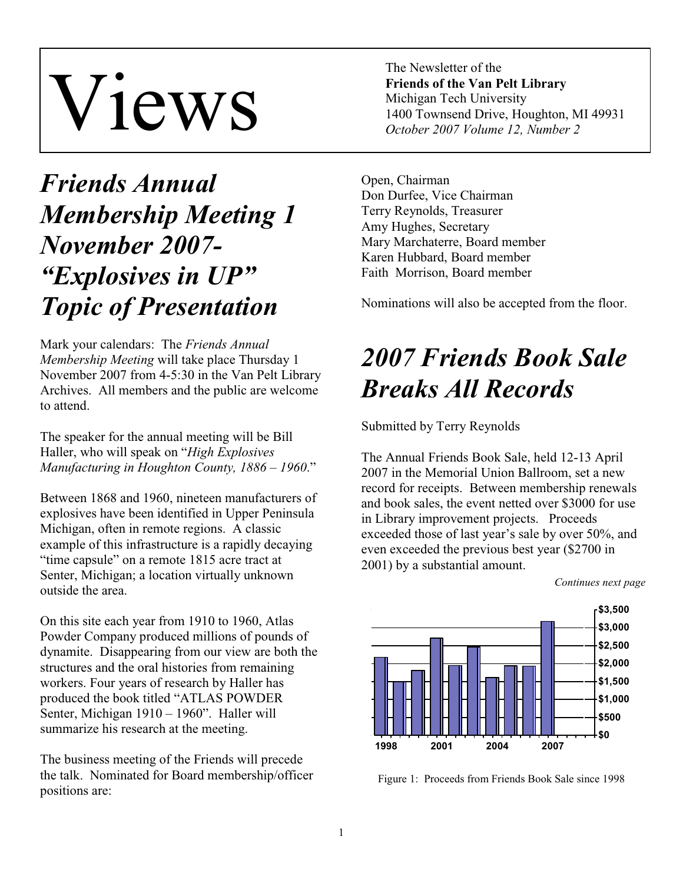# Views

The Newsletter of the **Friends of the Van Pelt Library**  Michigan Tech University 1400 Townsend Drive, Houghton, MI 49931 *October 2007 Volume 12, Number 2* 

# *Friends Annual Membership Meeting 1 November 2007- "Explosives in UP" Topic of Presentation*

Mark your calendars: The *Friends Annual Membership Meeting* will take place Thursday 1 November 2007 from 4-5:30 in the Van Pelt Library Archives. All members and the public are welcome to attend.

The speaker for the annual meeting will be Bill Haller, who will speak on "*High Explosives Manufacturing in Houghton County, 1886 – 1960*."

Between 1868 and 1960, nineteen manufacturers of explosives have been identified in Upper Peninsula Michigan, often in remote regions. A classic example of this infrastructure is a rapidly decaying "time capsule" on a remote 1815 acre tract at Senter, Michigan; a location virtually unknown outside the area.

On this site each year from 1910 to 1960, Atlas Powder Company produced millions of pounds of dynamite. Disappearing from our view are both the structures and the oral histories from remaining workers. Four years of research by Haller has produced the book titled "ATLAS POWDER Senter, Michigan 1910 – 1960". Haller will summarize his research at the meeting.

The business meeting of the Friends will precede the talk. Nominated for Board membership/officer positions are:

Open, Chairman Don Durfee, Vice Chairman Terry Reynolds, Treasurer Amy Hughes, Secretary Mary Marchaterre, Board member Karen Hubbard, Board member Faith Morrison, Board member

Nominations will also be accepted from the floor.

# *2007 Friends Book Sale Breaks All Records*

Submitted by Terry Reynolds

The Annual Friends Book Sale, held 12-13 April 2007 in the Memorial Union Ballroom, set a new record for receipts. Between membership renewals and book sales, the event netted over \$3000 for use in Library improvement projects. Proceeds exceeded those of last year's sale by over 50%, and even exceeded the previous best year (\$2700 in 2001) by a substantial amount.



Figure 1: Proceeds from Friends Book Sale since 1998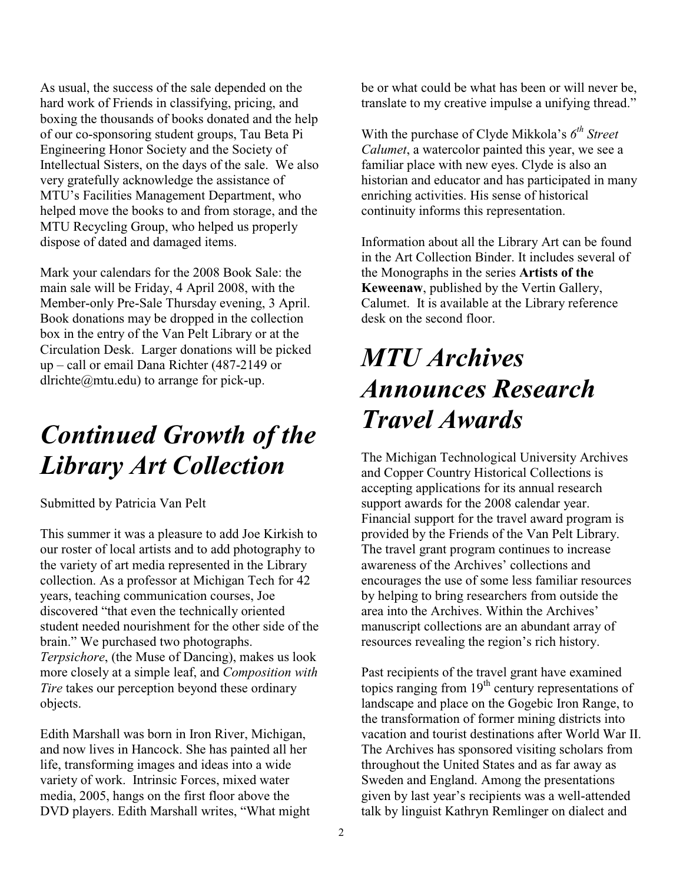As usual, the success of the sale depended on the hard work of Friends in classifying, pricing, and boxing the thousands of books donated and the help of our co-sponsoring student groups, Tau Beta Pi Engineering Honor Society and the Society of Intellectual Sisters, on the days of the sale. We also very gratefully acknowledge the assistance of MTU's Facilities Management Department, who helped move the books to and from storage, and the MTU Recycling Group, who helped us properly dispose of dated and damaged items.

Mark your calendars for the 2008 Book Sale: the main sale will be Friday, 4 April 2008, with the Member-only Pre-Sale Thursday evening, 3 April. Book donations may be dropped in the collection box in the entry of the Van Pelt Library or at the Circulation Desk. Larger donations will be picked up – call or email Dana Richter (487-2149 or dlrichte@mtu.edu) to arrange for pick-up.

#### *Continued Growth of the Library Art Collection*

Submitted by Patricia Van Pelt

This summer it was a pleasure to add Joe Kirkish to our roster of local artists and to add photography to the variety of art media represented in the Library collection. As a professor at Michigan Tech for 42 years, teaching communication courses, Joe discovered "that even the technically oriented student needed nourishment for the other side of the brain." We purchased two photographs. *Terpsichore*, (the Muse of Dancing), makes us look more closely at a simple leaf, and *Composition with Tire* takes our perception beyond these ordinary objects.

Edith Marshall was born in Iron River, Michigan, and now lives in Hancock. She has painted all her life, transforming images and ideas into a wide variety of work. Intrinsic Forces, mixed water media, 2005, hangs on the first floor above the DVD players. Edith Marshall writes, "What might be or what could be what has been or will never be, translate to my creative impulse a unifying thread."

With the purchase of Clyde Mikkola's *6th Street Calumet*, a watercolor painted this year, we see a familiar place with new eyes. Clyde is also an historian and educator and has participated in many enriching activities. His sense of historical continuity informs this representation.

Information about all the Library Art can be found in the Art Collection Binder. It includes several of the Monographs in the series **Artists of the Keweenaw**, published by the Vertin Gallery, Calumet. It is available at the Library reference desk on the second floor.

# *MTU Archives Announces Research Travel Awards*

The Michigan Technological University Archives and Copper Country Historical Collections is accepting applications for its annual research support awards for the 2008 calendar year. Financial support for the travel award program is provided by the Friends of the Van Pelt Library. The travel grant program continues to increase awareness of the Archives' collections and encourages the use of some less familiar resources by helping to bring researchers from outside the area into the Archives. Within the Archives' manuscript collections are an abundant array of resources revealing the region's rich history.

Past recipients of the travel grant have examined topics ranging from  $19<sup>th</sup>$  century representations of landscape and place on the Gogebic Iron Range, to the transformation of former mining districts into vacation and tourist destinations after World War II. The Archives has sponsored visiting scholars from throughout the United States and as far away as Sweden and England. Among the presentations given by last year's recipients was a well-attended talk by linguist Kathryn Remlinger on dialect and